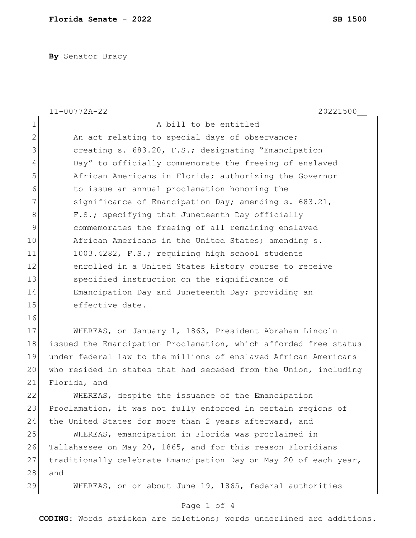**By** Senator Bracy

|                | $11 - 00772A - 22$<br>20221500                                   |
|----------------|------------------------------------------------------------------|
| $\mathbf 1$    | A bill to be entitled                                            |
| $\mathbf{2}$   | An act relating to special days of observance;                   |
| $\mathcal{S}$  | creating s. 683.20, F.S.; designating "Emancipation              |
| $\overline{4}$ | Day" to officially commemorate the freeing of enslaved           |
| 5              | African Americans in Florida; authorizing the Governor           |
| 6              | to issue an annual proclamation honoring the                     |
| 7              | significance of Emancipation Day; amending s. 683.21,            |
| $8\,$          | F.S.; specifying that Juneteenth Day officially                  |
| $\mathcal{G}$  | commemorates the freeing of all remaining enslaved               |
| 10             | African Americans in the United States; amending s.              |
| 11             | 1003.4282, F.S.; requiring high school students                  |
| 12             | enrolled in a United States History course to receive            |
| 13             | specified instruction on the significance of                     |
| 14             | Emancipation Day and Juneteenth Day; providing an                |
| 15             | effective date.                                                  |
| 16             |                                                                  |
| 17             | WHEREAS, on January 1, 1863, President Abraham Lincoln           |
| 18             | issued the Emancipation Proclamation, which afforded free status |
| 19             | under federal law to the millions of enslaved African Americans  |
| 20             | who resided in states that had seceded from the Union, including |
| 21             | Florida, and                                                     |
| 22             | WHEREAS, despite the issuance of the Emancipation                |
| 23             | Proclamation, it was not fully enforced in certain regions of    |
| 24             | the United States for more than 2 years afterward, and           |
| 25             | WHEREAS, emancipation in Florida was proclaimed in               |
| 26             | Tallahassee on May 20, 1865, and for this reason Floridians      |
| 27             | traditionally celebrate Emancipation Day on May 20 of each year, |
| 28             | and                                                              |
| 29             | WHEREAS, on or about June 19, 1865, federal authorities          |
|                | Page 1 of 4                                                      |

**CODING**: Words stricken are deletions; words underlined are additions.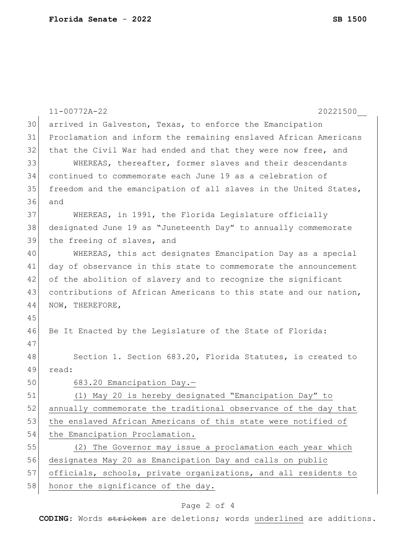|    | $11 - 00772A - 22$<br>20221500                                   |
|----|------------------------------------------------------------------|
| 30 | arrived in Galveston, Texas, to enforce the Emancipation         |
| 31 | Proclamation and inform the remaining enslaved African Americans |
| 32 | that the Civil War had ended and that they were now free, and    |
| 33 | WHEREAS, thereafter, former slaves and their descendants         |
| 34 | continued to commemorate each June 19 as a celebration of        |
| 35 | freedom and the emancipation of all slaves in the United States, |
| 36 | and                                                              |
| 37 | WHEREAS, in 1991, the Florida Legislature officially             |
| 38 | designated June 19 as "Juneteenth Day" to annually commemorate   |
| 39 | the freeing of slaves, and                                       |
| 40 | WHEREAS, this act designates Emancipation Day as a special       |
| 41 | day of observance in this state to commemorate the announcement  |
| 42 | of the abolition of slavery and to recognize the significant     |
| 43 | contributions of African Americans to this state and our nation, |
| 44 | NOW, THEREFORE,                                                  |
| 45 |                                                                  |
| 46 | Be It Enacted by the Legislature of the State of Florida:        |
| 47 |                                                                  |
| 48 | Section 1. Section 683.20, Florida Statutes, is created to       |
| 49 | read:                                                            |
| 50 | 683.20 Emancipation Day.-                                        |
| 51 | (1) May 20 is hereby designated "Emancipation Day" to            |
| 52 | annually commemorate the traditional observance of the day that  |
| 53 | the enslaved African Americans of this state were notified of    |
| 54 | the Emancipation Proclamation.                                   |
| 55 | (2) The Governor may issue a proclamation each year which        |
| 56 | designates May 20 as Emancipation Day and calls on public        |
| 57 | officials, schools, private organizations, and all residents to  |
| 58 | honor the significance of the day.                               |

## Page 2 of 4

**CODING**: Words stricken are deletions; words underlined are additions.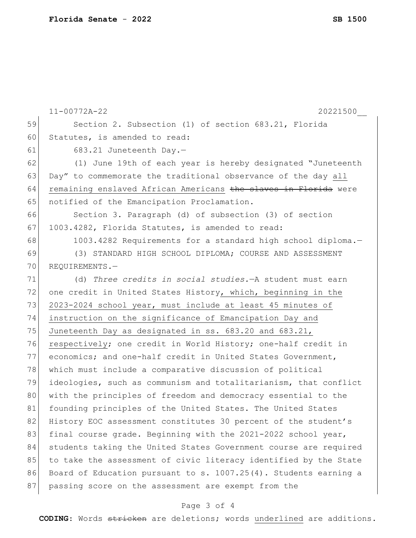|    | $11 - 00772A - 22$<br>20221500                                   |
|----|------------------------------------------------------------------|
| 59 | Section 2. Subsection (1) of section 683.21, Florida             |
| 60 | Statutes, is amended to read:                                    |
| 61 | 683.21 Juneteenth Day.-                                          |
| 62 | (1) June 19th of each year is hereby designated "Juneteenth      |
| 63 | Day" to commemorate the traditional observance of the day all    |
| 64 | remaining enslaved African Americans the slaves in Florida were  |
| 65 | notified of the Emancipation Proclamation.                       |
| 66 | Section 3. Paragraph (d) of subsection (3) of section            |
| 67 | 1003.4282, Florida Statutes, is amended to read:                 |
| 68 | 1003.4282 Requirements for a standard high school diploma.-      |
| 69 | (3) STANDARD HIGH SCHOOL DIPLOMA; COURSE AND ASSESSMENT          |
| 70 | REOUIREMENTS.-                                                   |
| 71 | (d) Three credits in social studies. - A student must earn       |
| 72 | one credit in United States History, which, beginning in the     |
| 73 | 2023-2024 school year, must include at least 45 minutes of       |
| 74 | instruction on the significance of Emancipation Day and          |
| 75 | Juneteenth Day as designated in ss. 683.20 and 683.21,           |
| 76 | respectively; one credit in World History; one-half credit in    |
| 77 | economics; and one-half credit in United States Government,      |
| 78 | which must include a comparative discussion of political         |
| 79 | ideologies, such as communism and totalitarianism, that conflict |
| 80 | with the principles of freedom and democracy essential to the    |
| 81 | founding principles of the United States. The United States      |
| 82 | History EOC assessment constitutes 30 percent of the student's   |
| 83 | final course grade. Beginning with the 2021-2022 school year,    |
| 84 | students taking the United States Government course are required |
| 85 | to take the assessment of civic literacy identified by the State |
| 86 | Board of Education pursuant to s. 1007.25(4). Students earning a |
| 87 | passing score on the assessment are exempt from the              |

## Page 3 of 4

**CODING**: Words stricken are deletions; words underlined are additions.